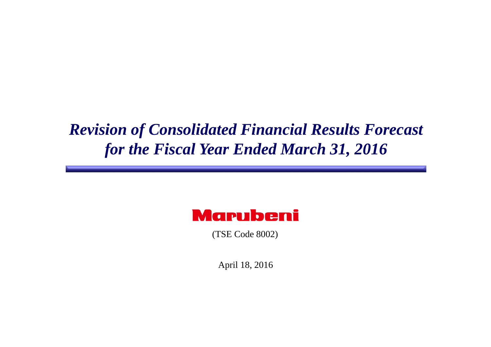# *Revision of Consolidated Financial Results Forecast for the Fiscal Year Ended March 31, 2016*

# **Marubeni**

(TSE Code 8002)

April 18, 2016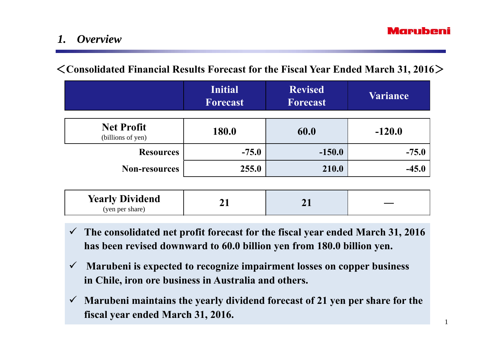## *1. Overview*

## <**Consolidated Financial Results Forecast for the Fiscal Year Ended March 31, 2016**>

|                                        | <b>Initial</b><br><b>Forecast</b> | <b>Revised</b><br><b>Forecast</b> | <b>Variance</b> |
|----------------------------------------|-----------------------------------|-----------------------------------|-----------------|
| <b>Net Profit</b><br>(billions of yen) | 180.0                             | 60.0                              | $-120.0$        |
| <b>Resources</b>                       | $-75.0$                           | $-150.0$                          | $-75.0$         |
| <b>Non-resources</b>                   | 255.0                             | 210.0                             | $-45.0$         |

| <b>Yearly Dividend</b><br>(yen per share) | - ⊥ |  |  |
|-------------------------------------------|-----|--|--|
|-------------------------------------------|-----|--|--|

- **The consolidated net profit forecast for the fiscal year ended March 31, 2016 has been revised downward to 60.0 billion yen from 180.0 billion yen.**
- $\checkmark$  **Marubeni is expected to recognize impairment losses on copper business in Chile, iron ore business in Australia and others.**
- $\checkmark$  **Marubeni maintains the yearly dividend forecast of 21 yen per share for the fiscal year ended March 31, 2016.**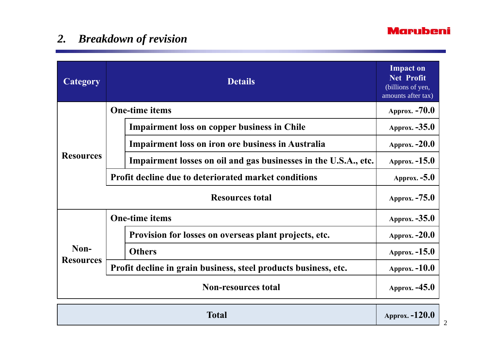### **Marubeni**

# *2. Breakdown of revision*

| <b>Category</b>            | <b>Details</b>                                                  | <b>Impact on</b><br><b>Net Profit</b><br>(billions of yen,<br>amounts after tax) |
|----------------------------|-----------------------------------------------------------------|----------------------------------------------------------------------------------|
| <b>One-time items</b>      |                                                                 | Approx. -70.0                                                                    |
| <b>Resources</b>           | <b>Impairment loss on copper business in Chile</b>              | Approx. $-35.0$                                                                  |
|                            | <b>Impairment loss on iron ore business in Australia</b>        | <b>Approx. -20.0</b>                                                             |
|                            | Impairment losses on oil and gas businesses in the U.S.A., etc. | Approx. $-15.0$                                                                  |
|                            | <b>Profit decline due to deteriorated market conditions</b>     | Approx. $-5.0$                                                                   |
| <b>Resources total</b>     |                                                                 | Approx. $-75.0$                                                                  |
| <b>One-time items</b>      |                                                                 | Approx. $-35.0$                                                                  |
| Non-<br><b>Resources</b>   | Provision for losses on overseas plant projects, etc.           | Approx. $-20.0$                                                                  |
|                            | <b>Others</b>                                                   | Approx. $-15.0$                                                                  |
|                            | Profit decline in grain business, steel products business, etc. | Approx. $-10.0$                                                                  |
| <b>Non-resources total</b> |                                                                 | Approx. -45.0                                                                    |

| <b>Total</b> | Approx. -120.0 |
|--------------|----------------|
|--------------|----------------|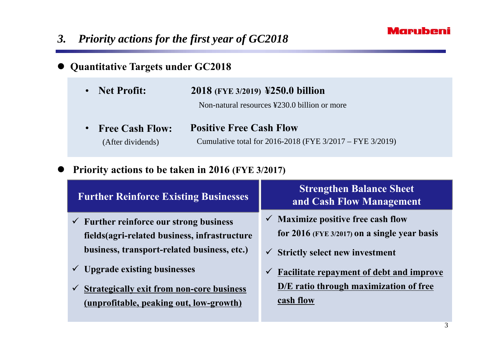### **Marubeni**

# *3. Priority actions for the first year of GC2018*

#### $\bullet$ **Quantitative Targets under GC2018**

| • Net Profit:                          | 2018 (FYE 3/2019) ¥250.0 billion                                                             |  |
|----------------------------------------|----------------------------------------------------------------------------------------------|--|
|                                        | Non-natural resources ¥230.0 billion or more                                                 |  |
| $\blacksquare$<br>$\sim$ $\sim$ $\sim$ | $\mathbf{D}$ . $\mathbf{M}$ . $\mathbf{D}$ . $\mathbf{M}$ . $\mathbf{C}$ . I. $\mathbf{M}$ . |  |

**Free Cash Flow:** (After dividends) Cumulative total for 2016-2018 (FYE 3/2017 – FYE 3/2019)  $\bullet$ **Positive Free Cash Flow**

#### $\bullet$ **Priority actions to be taken in 2016 (FYE 3/2017)**

| <b>Further Reinforce Existing Businesses</b>                                                                                                       | <b>Strengthen Balance Sheet</b><br>and Cash Flow Management                                                                                    |
|----------------------------------------------------------------------------------------------------------------------------------------------------|------------------------------------------------------------------------------------------------------------------------------------------------|
| $\checkmark$ Further reinforce our strong business<br>fields (agri-related business, infrastructure<br>business, transport-related business, etc.) | $\checkmark$ Maximize positive free cash flow<br>for $2016$ (FYE 3/2017) on a single year basis<br>$\checkmark$ Strictly select new investment |
| <b>Upgrade existing businesses</b><br><b>Strategically exit from non-core business</b><br>(unprofitable, peaking out, low-growth)                  | <b>Facilitate repayment of debt and improve</b><br>$\checkmark$<br>D/E ratio through maximization of free<br>cash flow                         |